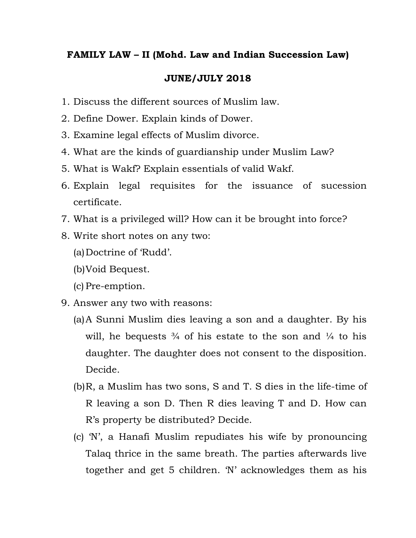## **FAMILY LAW – II (Mohd. Law and Indian Succession Law)**

## **JUNE/JULY 2018**

- 1. Discuss the different sources of Muslim law.
- 2. Define Dower. Explain kinds of Dower.
- 3. Examine legal effects of Muslim divorce.
- 4. What are the kinds of guardianship under Muslim Law?
- 5. What is Wakf? Explain essentials of valid Wakf.
- 6. Explain legal requisites for the issuance of sucession certificate.
- 7. What is a privileged will? How can it be brought into force?
- 8. Write short notes on any two:
	- (a)Doctrine of 'Rudd'.
	- (b)Void Bequest.
	- (c) Pre-emption.
- 9. Answer any two with reasons:
	- (a)A Sunni Muslim dies leaving a son and a daughter. By his will, he bequests  $\frac{3}{4}$  of his estate to the son and  $\frac{1}{4}$  to his daughter. The daughter does not consent to the disposition. Decide.
	- (b)R, a Muslim has two sons, S and T. S dies in the life-time of R leaving a son D. Then R dies leaving T and D. How can R's property be distributed? Decide.
	- (c) 'N', a Hanafi Muslim repudiates his wife by pronouncing Talaq thrice in the same breath. The parties afterwards live together and get 5 children. 'N' acknowledges them as his